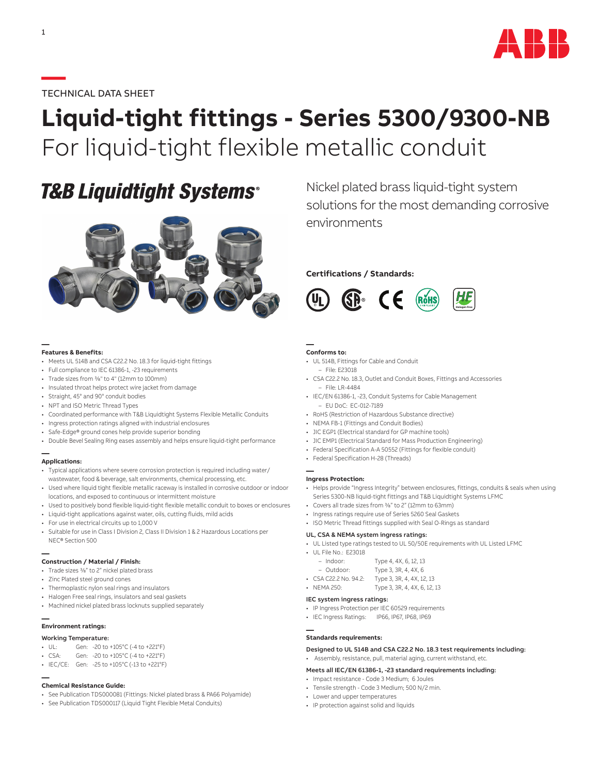

#### **—**TECHNICAL DATA SHEET

# **Liquid-tight fittings - Series 5300/9300-NB** For liquid-tight flexible metallic conduit

## **T&B Liquidtight Systems®**



#### **— Features & Benefits:**

- Meets UL 514B and CSA C22.2 No. 18.3 for liquid-tight fittings
- Full compliance to IEC 61386-1, -23 requirements
- Trade sizes from 3/8" to 4" (12mm to 100mm)
- Insulated throat helps protect wire jacket from damage
- Straight, 45° and 90° conduit bodies
- NPT and ISO Metric Thread Types
- Coordinated performance with T&B Liquidtight Systems Flexible Metallic Conduits
- Ingress protection ratings aligned with industrial enclosures
- Safe-Edge® ground cones help provide superior bonding
- Double Bevel Sealing Ring eases assembly and helps ensure liquid-tight performance

## **— Applications:**

- Typical applications where severe corrosion protection is required including water/ wastewater, food & beverage, salt environments, chemical processing, etc.
- Used where liquid tight flexible metallic raceway is installed in corrosive outdoor or indoor locations, and exposed to continuous or intermittent moisture
- Used to positively bond flexible liquid-tight flexible metallic conduit to boxes or enclosures
- Liquid-tight applications against water, oils, cutting fluids, mild acids
- For use in electrical circuits up to 1,000 V
- Suitable for use in Class I Division 2, Class II Division 1 & 2 Hazardous Locations per NEC® Section 500

## **— Construction / Material / Finish:**

- Trade sizes 3/8" to 2" nickel plated brass
- Zinc Plated steel ground cones
- Thermoplastic nylon seal rings and insulators
- Halogen Free seal rings, insulators and seal gaskets
- Machined nickel plated brass locknuts supplied separately

#### **— Environment ratings:**

#### Working Temperature:

- UL: Gen: -20 to +105°C (-4 to +221°F)
- CSA: Gen: -20 to +105°C (-4 to +221°F)
- IEC/CE: Gen: -25 to +105°C (-13 to +221°F)

## **— Chemical Resistance Guide:**

- See Publication TDS000081 (Fittings: Nickel plated brass & PA66 Polyamide)
- See Publication TDS000117 (Liquid Tight Flexible Metal Conduits)

Nickel plated brass liquid-tight system solutions for the most demanding corrosive environments

#### **Certifications / Standards:**



#### **— Conforms to:**

- UL 514B, Fittings for Cable and Conduit
- File: E23018
- CSA C22.2 No. 18.3, Outlet and Conduit Boxes, Fittings and Accessories – File: LR-4484
- IEC/EN 61386-1, -23, Conduit Systems for Cable Management – EU DoC: EC-012-7189
- RoHS (Restriction of Hazardous Substance directive)
- NEMA FB-1 (Fittings and Conduit Bodies)
- JIC EGP1 (Electrical standard for GP machine tools)
- JIC EMP1 (Electrical Standard for Mass Production Engineering)
- Federal Specification A-A 50552 (Fittings for flexible conduit)
- Federal Specification H-28 (Threads)

#### **— Ingress Protection:**

- Helps provide "Ingress Integrity" between enclosures, fittings, conduits & seals when using Series 5300-NB liquid-tight fittings and T&B Liquidtight Systems LFMC
- Covers all trade sizes from 3/8" to 2" (12mm to 63mm)
- Ingress ratings require use of Series 5260 Seal Gaskets
- ISO Metric Thread fittings supplied with Seal O-Rings as standard

#### UL, CSA & NEMA system ingress ratings:

- UL Listed type ratings tested to UL 50/50E requirements with UL Listed LFMC
- UL File No.: E23018
	- Indoor: Type 4, 4X, 6, 12, 13

| Outdoor: | Type 3, 3R, 4, 4X, 6 |  |  |
|----------|----------------------|--|--|

- CSA C22.2 No. 94.2: Type 3, 3R, 4, 4X, 12, 13
- NEMA 250: Type 3, 3R, 4, 4X, 6, 12, 13

#### IEC system ingress ratings:

- IP Ingress Protection per IEC 60529 requirements
- IEC Ingress Ratings: IP66, IP67, IP68, IP69

## **— Standards requirements:**

Designed to UL 514B and CSA C22.2 No. 18.3 test requirements including:

#### • Assembly, resistance, pull, material aging, current withstand, etc.

#### Meets all IEC/EN 61386-1, -23 standard requirements including:

- Impact resistance Code 3 Medium; 6 Joules
- Tensile strength Code 3 Medium; 500 N/2 min.
- Lower and upper temperatures
- IP protection against solid and liquids